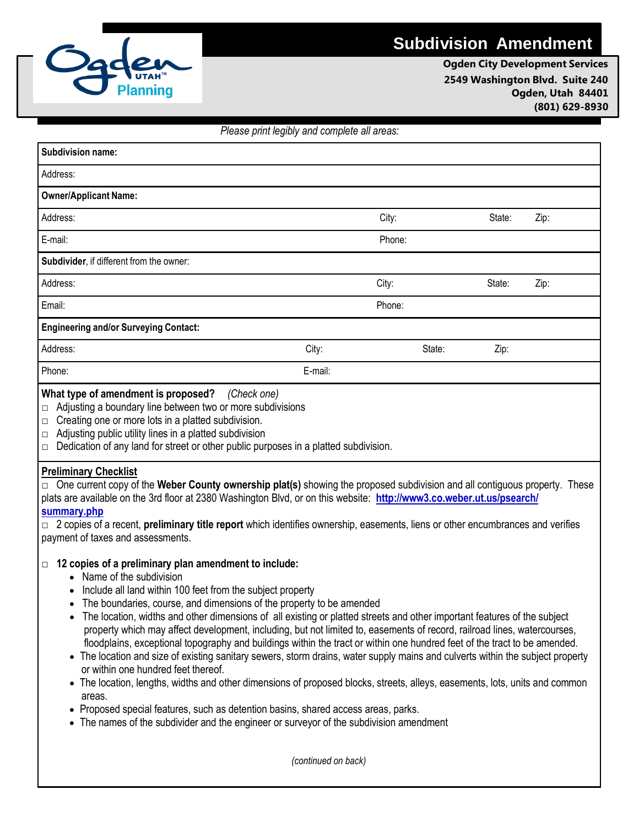# **Subdivision Amendment**



**Ogden City Development Services 2549 Washington Blvd. Suite 240 Ogden, Utah 84401 (801) 629-8930**

### *Please print legibly and complete all areas:*

| Subdivision name:                                         |         |        |        |      |
|-----------------------------------------------------------|---------|--------|--------|------|
| Address:                                                  |         |        |        |      |
| <b>Owner/Applicant Name:</b>                              |         |        |        |      |
| Address:                                                  |         | City:  | State: | Zip: |
| E-mail:                                                   |         | Phone: |        |      |
| Subdivider, if different from the owner:                  |         |        |        |      |
| Address:                                                  |         | City:  | State: | Zip: |
| Email:                                                    |         | Phone: |        |      |
| <b>Engineering and/or Surveying Contact:</b>              |         |        |        |      |
| Address:                                                  | City:   | State: | Zip:   |      |
| Phone:                                                    | E-mail: |        |        |      |
| $\mathbf{a}$ , $\mathbf{a}$ , $\mathbf{a}$ , $\mathbf{a}$ |         |        |        |      |

### **What type of amendment is proposed?** *(Check one)*

**□** Adjusting a boundary line between two or more subdivisions

- $\Box$  Creating one or more lots in a platted subdivision.
- $\Box$  Adjusting public utility lines in a platted subdivision
- $\Box$  Dedication of any land for street or other public purposes in a platted subdivision.

### **Preliminary Checklist**

**□** One current copy of the **Weber County ownership plat(s)** showing the proposed subdivision and all contiguous property. These plats are available on the 3rd floor at 2380 Washington Blvd, or on this website: **<http://www3.co.weber.ut.us/psearch/> summary.php**

**□** 2 copies of a recent, **preliminary title report** which identifies ownership, easements, liens or other encumbrances and verifies payment of taxes and assessments.

### **□ 12 copies of a preliminary plan amendment to include:**

- Name of the subdivision
- Include all land within 100 feet from the subject property
- The boundaries, course, and dimensions of the property to be amended
- The location, widths and other dimensions of all existing or platted streets and other important features of the subject property which may affect development, including, but not limited to, easements of record, railroad lines, watercourses, floodplains, exceptional topography and buildings within the tract or within one hundred feet of the tract to be amended.
- The location and size of existing sanitary sewers, storm drains, water supply mains and culverts within the subject property or within one hundred feet thereof.
- The location, lengths, widths and other dimensions of proposed blocks, streets, alleys, easements, lots, units and common areas.
- Proposed special features, such as detention basins, shared access areas, parks.
- The names of the subdivider and the engineer or surveyor of the subdivision amendment

*(continued on back)*